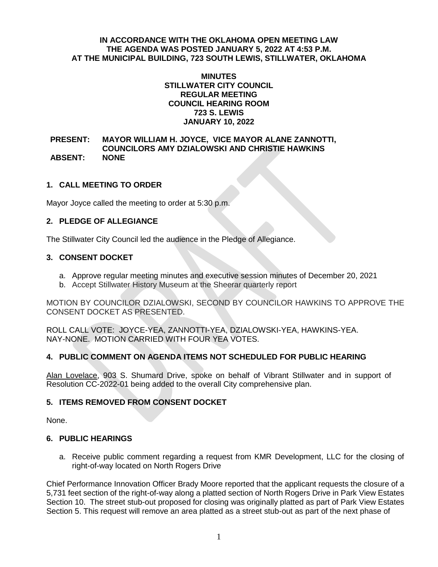#### **IN ACCORDANCE WITH THE OKLAHOMA OPEN MEETING LAW THE AGENDA WAS POSTED JANUARY 5, 2022 AT 4:53 P.M. AT THE MUNICIPAL BUILDING, 723 SOUTH LEWIS, STILLWATER, OKLAHOMA**

#### **MINUTES STILLWATER CITY COUNCIL REGULAR MEETING COUNCIL HEARING ROOM 723 S. LEWIS JANUARY 10, 2022**

**PRESENT: MAYOR WILLIAM H. JOYCE, VICE MAYOR ALANE ZANNOTTI, COUNCILORS AMY DZIALOWSKI AND CHRISTIE HAWKINS ABSENT: NONE**

## **1. CALL MEETING TO ORDER**

Mayor Joyce called the meeting to order at 5:30 p.m.

## **2. PLEDGE OF ALLEGIANCE**

The Stillwater City Council led the audience in the Pledge of Allegiance.

## **3. CONSENT DOCKET**

- a. Approve regular meeting minutes and executive session minutes of December 20, 2021
- b. Accept Stillwater History Museum at the Sheerar quarterly report

MOTION BY COUNCILOR DZIALOWSKI, SECOND BY COUNCILOR HAWKINS TO APPROVE THE CONSENT DOCKET AS PRESENTED.

ROLL CALL VOTE: JOYCE-YEA, ZANNOTTI-YEA, DZIALOWSKI-YEA, HAWKINS-YEA. NAY-NONE. MOTION CARRIED WITH FOUR YEA VOTES.

## **4. PUBLIC COMMENT ON AGENDA ITEMS NOT SCHEDULED FOR PUBLIC HEARING**

Alan Lovelace, 903 S. Shumard Drive, spoke on behalf of Vibrant Stillwater and in support of Resolution CC-2022-01 being added to the overall City comprehensive plan.

## **5. ITEMS REMOVED FROM CONSENT DOCKET**

None.

#### **6. PUBLIC HEARINGS**

a. Receive public comment regarding a request from KMR Development, LLC for the closing of right-of-way located on North Rogers Drive

Chief Performance Innovation Officer Brady Moore reported that the applicant requests the closure of a 5,731 feet section of the right-of-way along a platted section of North Rogers Drive in Park View Estates Section 10. The street stub-out proposed for closing was originally platted as part of Park View Estates Section 5. This request will remove an area platted as a street stub-out as part of the next phase of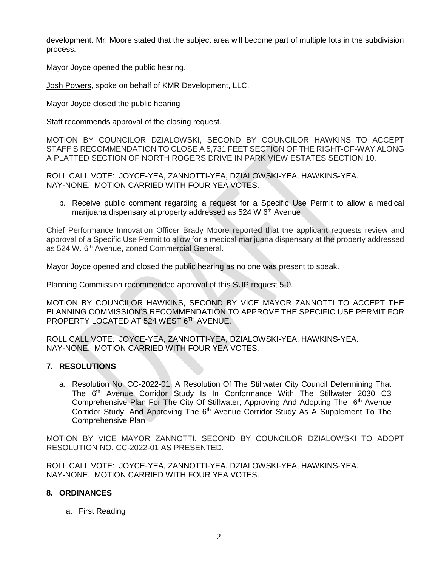development. Mr. Moore stated that the subject area will become part of multiple lots in the subdivision process.

Mayor Joyce opened the public hearing.

Josh Powers, spoke on behalf of KMR Development, LLC.

Mayor Joyce closed the public hearing

Staff recommends approval of the closing request.

MOTION BY COUNCILOR DZIALOWSKI, SECOND BY COUNCILOR HAWKINS TO ACCEPT STAFF'S RECOMMENDATION TO CLOSE A 5,731 FEET SECTION OF THE RIGHT-OF-WAY ALONG A PLATTED SECTION OF NORTH ROGERS DRIVE IN PARK VIEW ESTATES SECTION 10.

ROLL CALL VOTE: JOYCE-YEA, ZANNOTTI-YEA, DZIALOWSKI-YEA, HAWKINS-YEA. NAY-NONE. MOTION CARRIED WITH FOUR YEA VOTES.

b. Receive public comment regarding a request for a Specific Use Permit to allow a medical marijuana dispensary at property addressed as 524 W 6<sup>th</sup> Avenue

Chief Performance Innovation Officer Brady Moore reported that the applicant requests review and approval of a Specific Use Permit to allow for a medical marijuana dispensary at the property addressed as 524 W. 6<sup>th</sup> Avenue, zoned Commercial General.

Mayor Joyce opened and closed the public hearing as no one was present to speak.

Planning Commission recommended approval of this SUP request 5-0.

MOTION BY COUNCILOR HAWKINS, SECOND BY VICE MAYOR ZANNOTTI TO ACCEPT THE PLANNING COMMISSION'S RECOMMENDATION TO APPROVE THE SPECIFIC USE PERMIT FOR PROPERTY LOCATED AT 524 WEST 6TH AVENUE.

ROLL CALL VOTE: JOYCE-YEA, ZANNOTTI-YEA, DZIALOWSKI-YEA, HAWKINS-YEA. NAY-NONE. MOTION CARRIED WITH FOUR YEA VOTES.

# **7. RESOLUTIONS**

a. Resolution No. CC-2022-01: A Resolution Of The Stillwater City Council Determining That The 6<sup>th</sup> Avenue Corridor Study Is In Conformance With The Stillwater 2030 C3 Comprehensive Plan For The City Of Stillwater; Approving And Adopting The  $6<sup>th</sup>$  Avenue Corridor Study; And Approving The 6<sup>th</sup> Avenue Corridor Study As A Supplement To The Comprehensive Plan

MOTION BY VICE MAYOR ZANNOTTI, SECOND BY COUNCILOR DZIALOWSKI TO ADOPT RESOLUTION NO. CC-2022-01 AS PRESENTED.

ROLL CALL VOTE: JOYCE-YEA, ZANNOTTI-YEA, DZIALOWSKI-YEA, HAWKINS-YEA. NAY-NONE. MOTION CARRIED WITH FOUR YEA VOTES.

## **8. ORDINANCES**

a. First Reading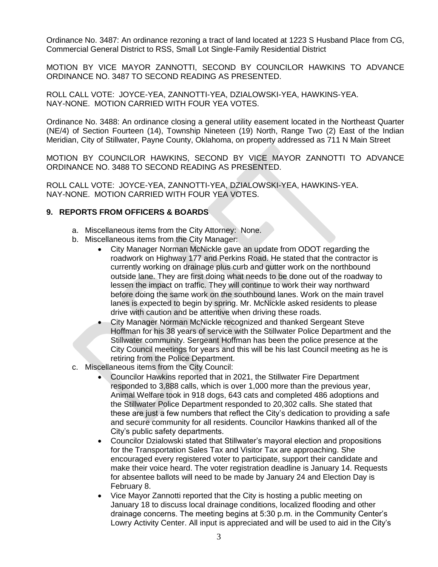Ordinance No. 3487: An ordinance rezoning a tract of land located at 1223 S Husband Place from CG, Commercial General District to RSS, Small Lot Single-Family Residential District

MOTION BY VICE MAYOR ZANNOTTI, SECOND BY COUNCILOR HAWKINS TO ADVANCE ORDINANCE NO. 3487 TO SECOND READING AS PRESENTED.

ROLL CALL VOTE: JOYCE-YEA, ZANNOTTI-YEA, DZIALOWSKI-YEA, HAWKINS-YEA. NAY-NONE. MOTION CARRIED WITH FOUR YEA VOTES.

Ordinance No. 3488: An ordinance closing a general utility easement located in the Northeast Quarter (NE/4) of Section Fourteen (14), Township Nineteen (19) North, Range Two (2) East of the Indian Meridian, City of Stillwater, Payne County, Oklahoma, on property addressed as 711 N Main Street

MOTION BY COUNCILOR HAWKINS, SECOND BY VICE MAYOR ZANNOTTI TO ADVANCE ORDINANCE NO. 3488 TO SECOND READING AS PRESENTED.

ROLL CALL VOTE: JOYCE-YEA, ZANNOTTI-YEA, DZIALOWSKI-YEA, HAWKINS-YEA. NAY-NONE. MOTION CARRIED WITH FOUR YEA VOTES.

## **9. REPORTS FROM OFFICERS & BOARDS**

- a. Miscellaneous items from the City Attorney: None.
- b. Miscellaneous items from the City Manager:
	- City Manager Norman McNickle gave an update from ODOT regarding the roadwork on Highway 177 and Perkins Road. He stated that the contractor is currently working on drainage plus curb and gutter work on the northbound outside lane. They are first doing what needs to be done out of the roadway to lessen the impact on traffic. They will continue to work their way northward before doing the same work on the southbound lanes. Work on the main travel lanes is expected to begin by spring. Mr. McNickle asked residents to please drive with caution and be attentive when driving these roads.
	- City Manager Norman McNickle recognized and thanked Sergeant Steve Hoffman for his 38 years of service with the Stillwater Police Department and the Stillwater community. Sergeant Hoffman has been the police presence at the City Council meetings for years and this will be his last Council meeting as he is retiring from the Police Department.
- c. Miscellaneous items from the City Council:
	- Councilor Hawkins reported that in 2021, the Stillwater Fire Department responded to 3,888 calls, which is over 1,000 more than the previous year, Animal Welfare took in 918 dogs, 643 cats and completed 486 adoptions and the Stillwater Police Department responded to 20,302 calls. She stated that these are just a few numbers that reflect the City's dedication to providing a safe and secure community for all residents. Councilor Hawkins thanked all of the City's public safety departments.
	- Councilor Dzialowski stated that Stillwater's mayoral election and propositions for the Transportation Sales Tax and Visitor Tax are approaching. She encouraged every registered voter to participate, support their candidate and make their voice heard. The voter registration deadline is January 14. Requests for absentee ballots will need to be made by January 24 and Election Day is February 8.
	- Vice Mayor Zannotti reported that the City is hosting a public meeting on January 18 to discuss local drainage conditions, localized flooding and other drainage concerns. The meeting begins at 5:30 p.m. in the Community Center's Lowry Activity Center. All input is appreciated and will be used to aid in the City's